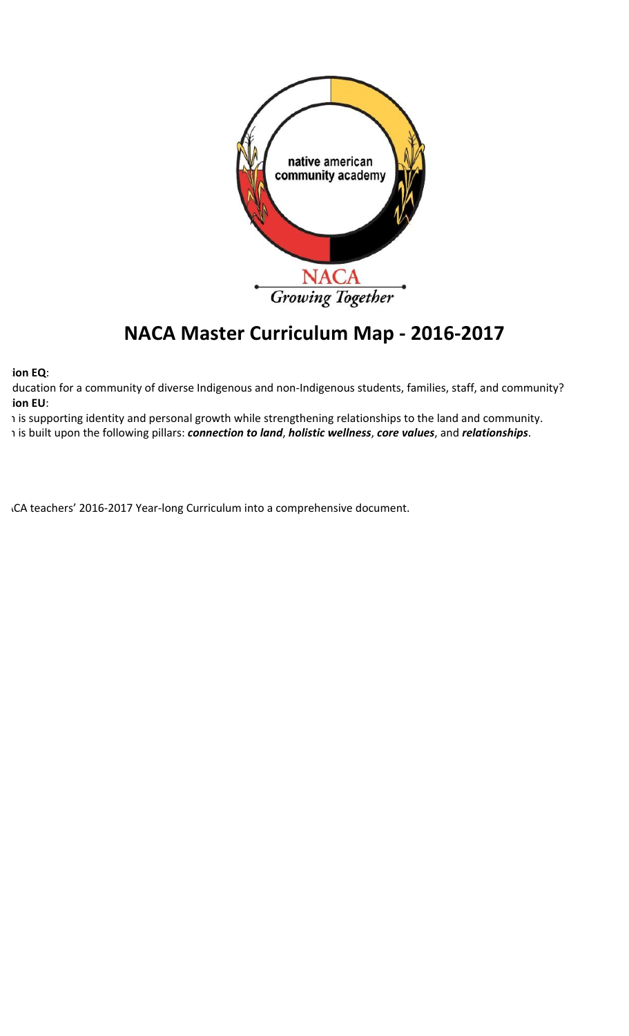

## **NACA Master Curriculum Map - 2016-2017**

**Ion EQ:** 

ducation for a community of diverse Indigenous and non-Indigenous students, families, staff, and community? **Ion EU:** 

1 is supporting identity and personal growth while strengthening relationships to the land and community. 1 is built upon the following pillars: *connection to land*, *holistic wellness*, *core values*, and *relationships*.

.CA teachers' 2016-2017 Year-long Curriculum into a comprehensive document.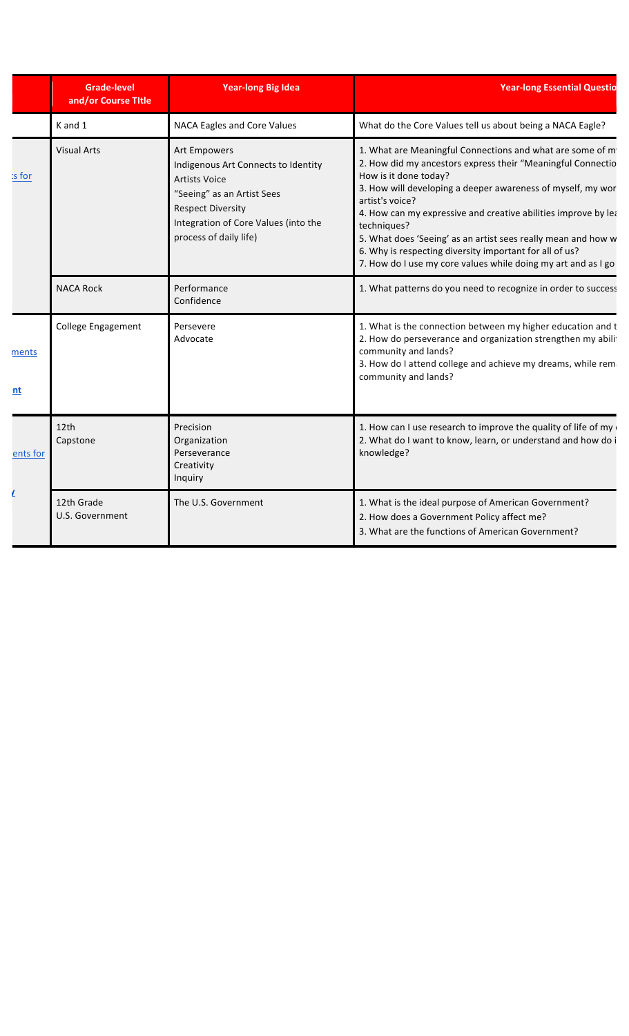|             | <b>Grade-level</b><br>and/or Course Title | <b>Year-long Big Idea</b>                                                                                                                                                                               | <b>Year-long Essential Questio</b>                                                                                                                                                                                                                                                                                                                                                                                                                                                                                |
|-------------|-------------------------------------------|---------------------------------------------------------------------------------------------------------------------------------------------------------------------------------------------------------|-------------------------------------------------------------------------------------------------------------------------------------------------------------------------------------------------------------------------------------------------------------------------------------------------------------------------------------------------------------------------------------------------------------------------------------------------------------------------------------------------------------------|
|             | K and 1                                   | NACA Eagles and Core Values                                                                                                                                                                             | What do the Core Values tell us about being a NACA Eagle?                                                                                                                                                                                                                                                                                                                                                                                                                                                         |
| :s for      | <b>Visual Arts</b>                        | Art Empowers<br>Indigenous Art Connects to Identity<br><b>Artists Voice</b><br>"Seeing" as an Artist Sees<br><b>Respect Diversity</b><br>Integration of Core Values (into the<br>process of daily life) | 1. What are Meaningful Connections and what are some of m<br>2. How did my ancestors express their "Meaningful Connectio<br>How is it done today?<br>3. How will developing a deeper awareness of myself, my wor<br>artist's voice?<br>4. How can my expressive and creative abilities improve by lea<br>techniques?<br>5. What does 'Seeing' as an artist sees really mean and how w<br>6. Why is respecting diversity important for all of us?<br>7. How do I use my core values while doing my art and as I go |
|             | <b>NACA Rock</b>                          | Performance<br>Confidence                                                                                                                                                                               | 1. What patterns do you need to recognize in order to success                                                                                                                                                                                                                                                                                                                                                                                                                                                     |
| ments<br>nt | <b>College Engagement</b>                 | Persevere<br>Advocate                                                                                                                                                                                   | 1. What is the connection between my higher education and t<br>2. How do perseverance and organization strengthen my abilit<br>community and lands?<br>3. How do I attend college and achieve my dreams, while rem<br>community and lands?                                                                                                                                                                                                                                                                        |
| ents for    | 12th<br>Capstone                          | Precision<br>Organization<br>Perseverance<br>Creativity<br>Inquiry                                                                                                                                      | 1. How can I use research to improve the quality of life of my<br>2. What do I want to know, learn, or understand and how do i<br>knowledge?                                                                                                                                                                                                                                                                                                                                                                      |
|             | 12th Grade<br>U.S. Government             | The U.S. Government                                                                                                                                                                                     | 1. What is the ideal purpose of American Government?<br>2. How does a Government Policy affect me?<br>3. What are the functions of American Government?                                                                                                                                                                                                                                                                                                                                                           |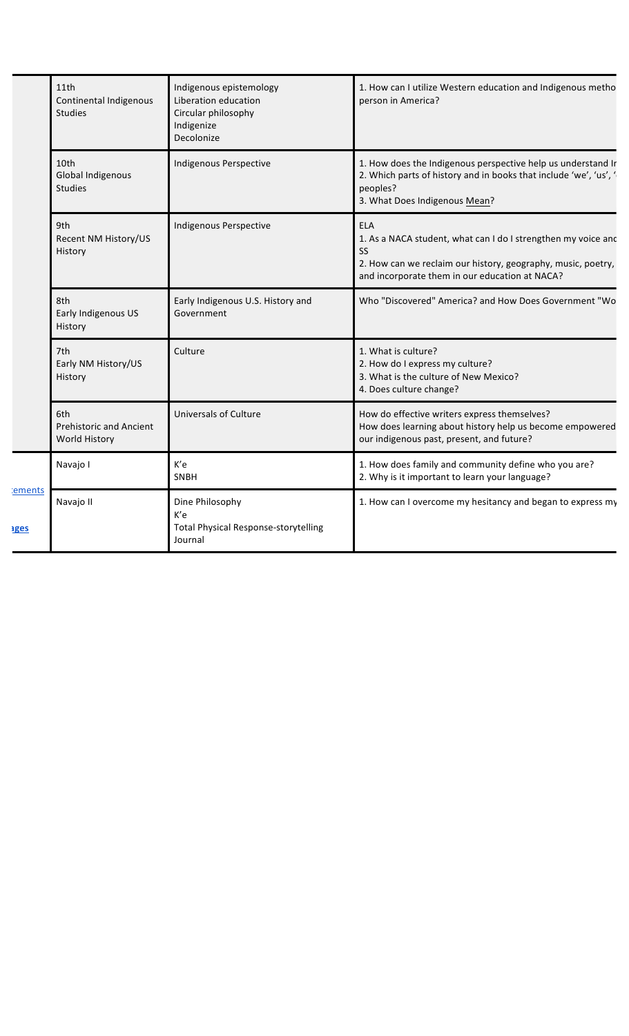| 11th<br>Continental Indigenous<br><b>Studies</b>              | Indigenous epistemology<br>Liberation education<br>Circular philosophy<br>Indigenize<br>Decolonize | 1. How can I utilize Western education and Indigenous metho<br>person in America?                                                                                                                   |
|---------------------------------------------------------------|----------------------------------------------------------------------------------------------------|-----------------------------------------------------------------------------------------------------------------------------------------------------------------------------------------------------|
| 10th<br>Global Indigenous<br><b>Studies</b>                   | Indigenous Perspective                                                                             | 1. How does the Indigenous perspective help us understand Ir<br>2. Which parts of history and in books that include 'we', 'us', '<br>peoples?<br>3. What Does Indigenous Mean?                      |
| 9th<br>Recent NM History/US<br>History                        | Indigenous Perspective                                                                             | <b>ELA</b><br>1. As a NACA student, what can I do I strengthen my voice and<br>SS<br>2. How can we reclaim our history, geography, music, poetry,<br>and incorporate them in our education at NACA? |
| 8th<br>Early Indigenous US<br>History                         | Early Indigenous U.S. History and<br>Government                                                    | Who "Discovered" America? and How Does Government "Wo                                                                                                                                               |
| 7th<br>Early NM History/US<br>History                         | Culture                                                                                            | 1. What is culture?<br>2. How do I express my culture?<br>3. What is the culture of New Mexico?<br>4. Does culture change?                                                                          |
| 6th<br><b>Prehistoric and Ancient</b><br><b>World History</b> | Universals of Culture                                                                              | How do effective writers express themselves?<br>How does learning about history help us become empowered<br>our indigenous past, present, and future?                                               |
| Navajo I                                                      | K'e<br>SNBH                                                                                        | 1. How does family and community define who you are?<br>2. Why is it important to learn your language?                                                                                              |
| ements<br>Navajo II<br><b>iges</b>                            | Dine Philosophy<br>K'e<br><b>Total Physical Response-storytelling</b><br>Journal                   | 1. How can I overcome my hesitancy and began to express my                                                                                                                                          |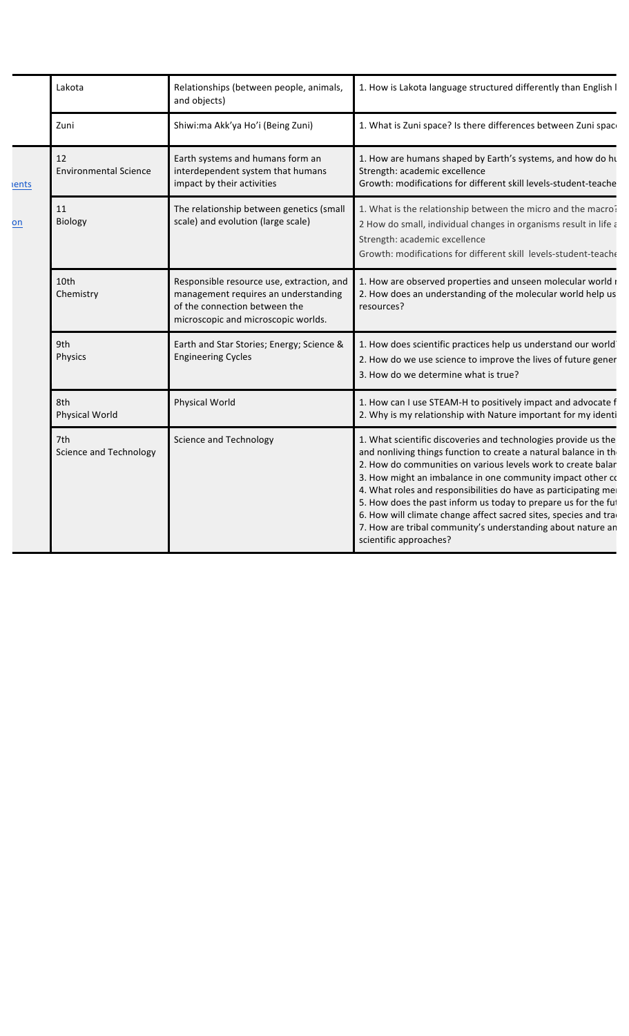|                    | Lakota                               | Relationships (between people, animals,<br>and objects)                                                                                                   | 1. How is Lakota language structured differently than English I                                                                                                                                                                                                                                                                                                                                                                                                                                                                                                   |
|--------------------|--------------------------------------|-----------------------------------------------------------------------------------------------------------------------------------------------------------|-------------------------------------------------------------------------------------------------------------------------------------------------------------------------------------------------------------------------------------------------------------------------------------------------------------------------------------------------------------------------------------------------------------------------------------------------------------------------------------------------------------------------------------------------------------------|
|                    | Zuni                                 | Shiwi:ma Akk'ya Ho'i (Being Zuni)                                                                                                                         | 1. What is Zuni space? Is there differences between Zuni space                                                                                                                                                                                                                                                                                                                                                                                                                                                                                                    |
| <b>ients</b><br>on | 12<br><b>Environmental Science</b>   | Earth systems and humans form an<br>interdependent system that humans<br>impact by their activities                                                       | 1. How are humans shaped by Earth's systems, and how do hu<br>Strength: academic excellence<br>Growth: modifications for different skill levels-student-teache                                                                                                                                                                                                                                                                                                                                                                                                    |
|                    | 11<br><b>Biology</b>                 | The relationship between genetics (small<br>scale) and evolution (large scale)                                                                            | 1. What is the relationship between the micro and the macro?<br>2 How do small, individual changes in organisms result in life a<br>Strength: academic excellence<br>Growth: modifications for different skill levels-student-teache                                                                                                                                                                                                                                                                                                                              |
|                    | 10th<br>Chemistry                    | Responsible resource use, extraction, and<br>management requires an understanding<br>of the connection between the<br>microscopic and microscopic worlds. | 1. How are observed properties and unseen molecular world r<br>2. How does an understanding of the molecular world help us<br>resources?                                                                                                                                                                                                                                                                                                                                                                                                                          |
|                    | 9th<br>Physics                       | Earth and Star Stories; Energy; Science &<br><b>Engineering Cycles</b>                                                                                    | 1. How does scientific practices help us understand our world<br>2. How do we use science to improve the lives of future gener<br>3. How do we determine what is true?                                                                                                                                                                                                                                                                                                                                                                                            |
|                    | 8th<br>Physical World                | <b>Physical World</b>                                                                                                                                     | 1. How can I use STEAM-H to positively impact and advocate f<br>2. Why is my relationship with Nature important for my identi                                                                                                                                                                                                                                                                                                                                                                                                                                     |
|                    | 7th<br><b>Science and Technology</b> | <b>Science and Technology</b>                                                                                                                             | 1. What scientific discoveries and technologies provide us the<br>and nonliving things function to create a natural balance in the<br>2. How do communities on various levels work to create balar<br>3. How might an imbalance in one community impact other co<br>4. What roles and responsibilities do have as participating me<br>5. How does the past inform us today to prepare us for the fut<br>6. How will climate change affect sacred sites, species and trad<br>7. How are tribal community's understanding about nature an<br>scientific approaches? |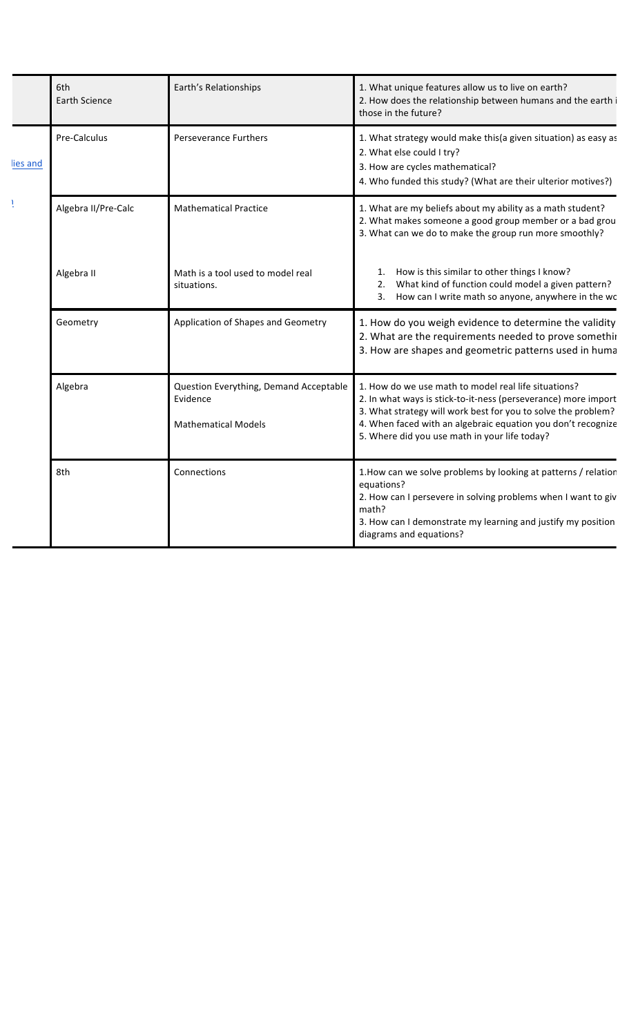|         | 6th<br>Earth Science | Earth's Relationships                                                            | 1. What unique features allow us to live on earth?<br>2. How does the relationship between humans and the earth i<br>those in the future?                                                                                                                                                                |
|---------|----------------------|----------------------------------------------------------------------------------|----------------------------------------------------------------------------------------------------------------------------------------------------------------------------------------------------------------------------------------------------------------------------------------------------------|
| ies and | Pre-Calculus         | <b>Perseverance Furthers</b>                                                     | 1. What strategy would make this(a given situation) as easy as<br>2. What else could I try?<br>3. How are cycles mathematical?<br>4. Who funded this study? (What are their ulterior motives?)                                                                                                           |
| Ŀ       | Algebra II/Pre-Calc  | <b>Mathematical Practice</b>                                                     | 1. What are my beliefs about my ability as a math student?<br>2. What makes someone a good group member or a bad grou<br>3. What can we do to make the group run more smoothly?                                                                                                                          |
|         | Algebra II           | Math is a tool used to model real<br>situations.                                 | How is this similar to other things I know?<br>What kind of function could model a given pattern?<br>How can I write math so anyone, anywhere in the wc<br>3.                                                                                                                                            |
|         | Geometry             | Application of Shapes and Geometry                                               | 1. How do you weigh evidence to determine the validity<br>2. What are the requirements needed to prove somethir<br>3. How are shapes and geometric patterns used in huma                                                                                                                                 |
|         | Algebra              | Question Everything, Demand Acceptable<br>Evidence<br><b>Mathematical Models</b> | 1. How do we use math to model real life situations?<br>2. In what ways is stick-to-it-ness (perseverance) more import<br>3. What strategy will work best for you to solve the problem?<br>4. When faced with an algebraic equation you don't recognize<br>5. Where did you use math in your life today? |
|         | 8th                  | Connections                                                                      | 1. How can we solve problems by looking at patterns / relation<br>equations?<br>2. How can I persevere in solving problems when I want to giv<br>math?<br>3. How can I demonstrate my learning and justify my position<br>diagrams and equations?                                                        |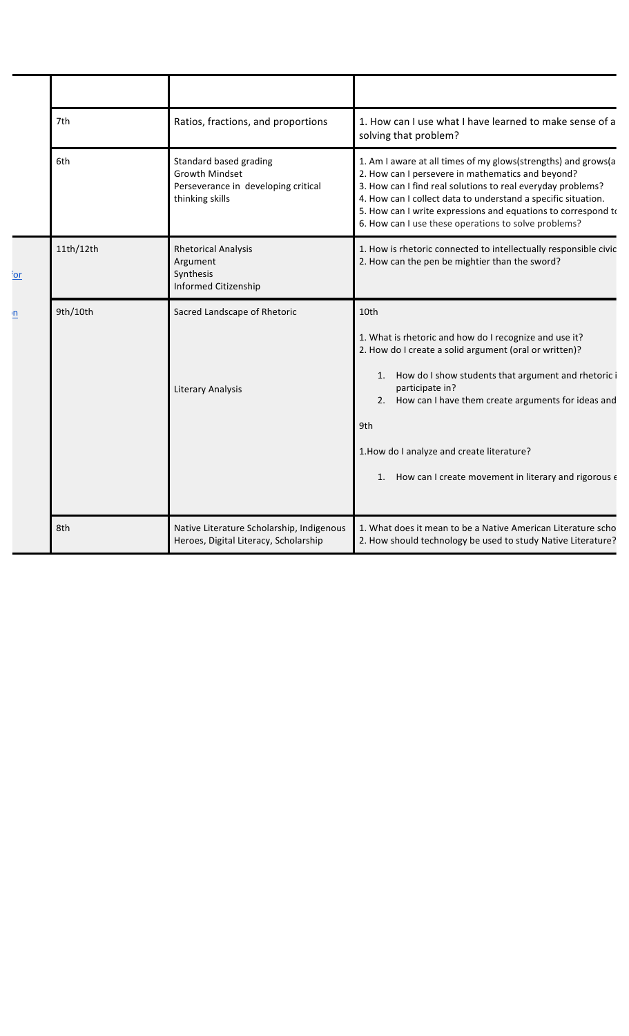|                 | 7th       | Ratios, fractions, and proportions                                                                        | 1. How can I use what I have learned to make sense of a                                                                                                                                                                                                                                                                                                                                              |
|-----------------|-----------|-----------------------------------------------------------------------------------------------------------|------------------------------------------------------------------------------------------------------------------------------------------------------------------------------------------------------------------------------------------------------------------------------------------------------------------------------------------------------------------------------------------------------|
|                 | 6th       | Standard based grading<br><b>Growth Mindset</b><br>Perseverance in developing critical<br>thinking skills | solving that problem?<br>1. Am I aware at all times of my glows(strengths) and grows(a<br>2. How can I persevere in mathematics and beyond?<br>3. How can I find real solutions to real everyday problems?<br>4. How can I collect data to understand a specific situation.<br>5. How can I write expressions and equations to correspond to<br>6. How can I use these operations to solve problems? |
| <u>or</u>       | 11th/12th | <b>Rhetorical Analysis</b><br>Argument<br>Synthesis<br>Informed Citizenship                               | 1. How is rhetoric connected to intellectually responsible civic<br>2. How can the pen be mightier than the sword?                                                                                                                                                                                                                                                                                   |
| $\underline{n}$ | 9th/10th  | Sacred Landscape of Rhetoric<br>Literary Analysis                                                         | 10th<br>1. What is rhetoric and how do I recognize and use it?<br>2. How do I create a solid argument (oral or written)?<br>How do I show students that argument and rhetoric i<br>1.<br>participate in?<br>2. How can I have them create arguments for ideas and<br>9th<br>1. How do I analyze and create literature?<br>1. How can I create movement in literary and rigorous $\epsilon$           |
|                 | 8th       | Native Literature Scholarship, Indigenous<br>Heroes, Digital Literacy, Scholarship                        | 1. What does it mean to be a Native American Literature scho<br>2. How should technology be used to study Native Literature?                                                                                                                                                                                                                                                                         |